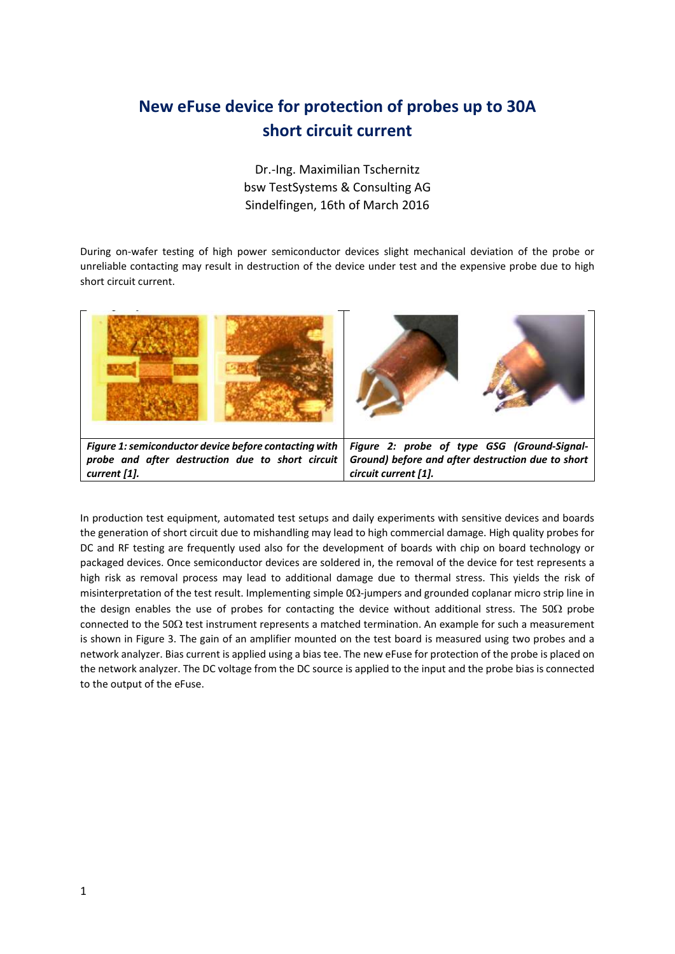## **New eFuse device for protection of probes up to 30A short circuit current**

Dr.-Ing. Maximilian Tschernitz bsw TestSystems & Consulting AG Sindelfingen, 16th of March 2016

During on-wafer testing of high power semiconductor devices slight mechanical deviation of the probe or unreliable contacting may result in destruction of the device under test and the expensive probe due to high short circuit current.



In production test equipment, automated test setups and daily experiments with sensitive devices and boards the generation of short circuit due to mishandling may lead to high commercial damage. High quality probes for DC and RF testing are frequently used also for the development of boards with chip on board technology or packaged devices. Once semiconductor devices are soldered in, the removal of the device for test represents a high risk as removal process may lead to additional damage due to thermal stress. This yields the risk of misinterpretation of the test result. Implementing simple  $0\Omega$ -jumpers and grounded coplanar micro strip line in the design enables the use of probes for contacting the device without additional stress. The 50 $\Omega$  probe connected to the 50 $\Omega$  test instrument represents a matched termination. An example for such a measurement is shown in Figure 3. The gain of an amplifier mounted on the test board is measured using two probes and a network analyzer. Bias current is applied using a bias tee. The new eFuse for protection of the probe is placed on the network analyzer. The DC voltage from the DC source is applied to the input and the probe bias is connected to the output of the eFuse.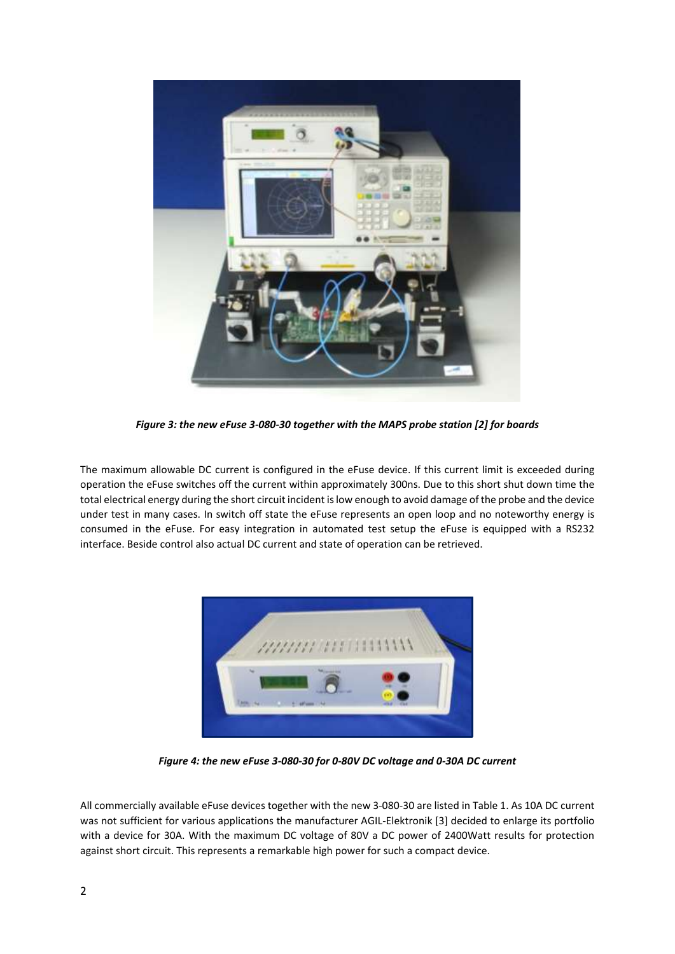

*Figure 3: the new eFuse 3-080-30 together with the MAPS probe station [2] for boards*

The maximum allowable DC current is configured in the eFuse device. If this current limit is exceeded during operation the eFuse switches off the current within approximately 300ns. Due to this short shut down time the total electrical energy during the short circuit incident is low enough to avoid damage of the probe and the device under test in many cases. In switch off state the eFuse represents an open loop and no noteworthy energy is consumed in the eFuse. For easy integration in automated test setup the eFuse is equipped with a RS232 interface. Beside control also actual DC current and state of operation can be retrieved.



*Figure 4: the new eFuse 3-080-30 for 0-80V DC voltage and 0-30A DC current*

All commercially available eFuse devices together with the new 3-080-30 are listed in Table 1. As 10A DC current was not sufficient for various applications the manufacturer AGIL-Elektronik [3] decided to enlarge its portfolio with a device for 30A. With the maximum DC voltage of 80V a DC power of 2400Watt results for protection against short circuit. This represents a remarkable high power for such a compact device.